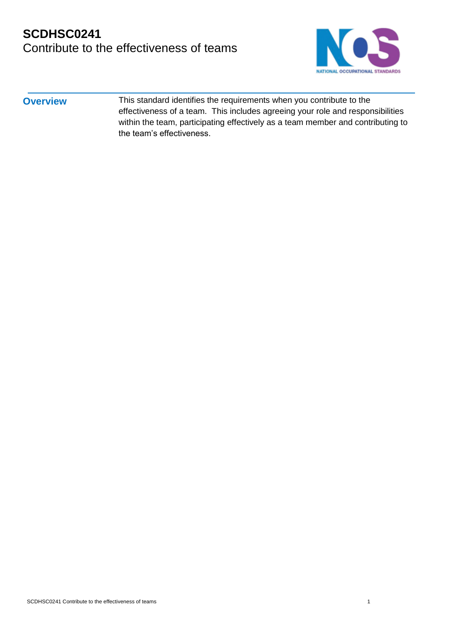# **SCDHSC0241**  Contribute to the effectiveness of teams



**Overview** This standard identifies the requirements when you contribute to the effectiveness of a team. This includes agreeing your role and responsibilities within the team, participating effectively as a team member and contributing to the team's effectiveness.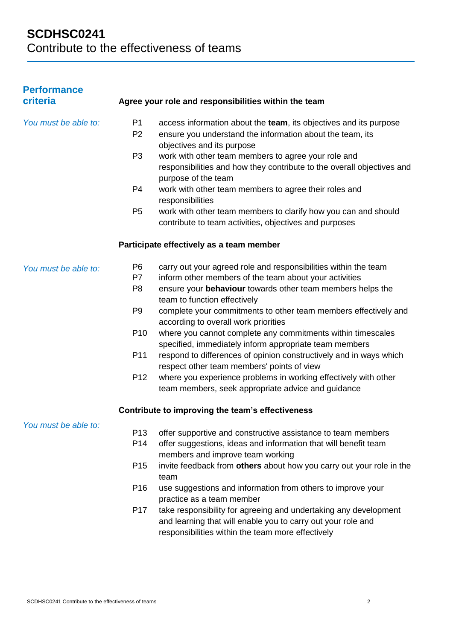| <b>Performance</b>   |                 |                                                                                                                                                                                       |
|----------------------|-----------------|---------------------------------------------------------------------------------------------------------------------------------------------------------------------------------------|
| criteria             |                 | Agree your role and responsibilities within the team                                                                                                                                  |
| You must be able to: | P <sub>1</sub>  | access information about the team, its objectives and its purpose                                                                                                                     |
|                      | P <sub>2</sub>  | ensure you understand the information about the team, its                                                                                                                             |
|                      |                 | objectives and its purpose                                                                                                                                                            |
|                      | P <sub>3</sub>  | work with other team members to agree your role and                                                                                                                                   |
|                      |                 | responsibilities and how they contribute to the overall objectives and                                                                                                                |
|                      | P <sub>4</sub>  | purpose of the team<br>work with other team members to agree their roles and                                                                                                          |
|                      |                 | responsibilities                                                                                                                                                                      |
|                      | P <sub>5</sub>  | work with other team members to clarify how you can and should                                                                                                                        |
|                      |                 | contribute to team activities, objectives and purposes                                                                                                                                |
|                      |                 | Participate effectively as a team member                                                                                                                                              |
| You must be able to: | P <sub>6</sub>  | carry out your agreed role and responsibilities within the team                                                                                                                       |
|                      | P7              | inform other members of the team about your activities                                                                                                                                |
|                      | P <sub>8</sub>  | ensure your behaviour towards other team members helps the                                                                                                                            |
|                      |                 | team to function effectively                                                                                                                                                          |
|                      | P <sub>9</sub>  | complete your commitments to other team members effectively and                                                                                                                       |
|                      |                 | according to overall work priorities                                                                                                                                                  |
|                      | P <sub>10</sub> | where you cannot complete any commitments within timescales<br>specified, immediately inform appropriate team members                                                                 |
|                      | P11             | respond to differences of opinion constructively and in ways which                                                                                                                    |
|                      |                 | respect other team members' points of view                                                                                                                                            |
|                      | P <sub>12</sub> | where you experience problems in working effectively with other                                                                                                                       |
|                      |                 | team members, seek appropriate advice and guidance                                                                                                                                    |
|                      |                 | Contribute to improving the team's effectiveness                                                                                                                                      |
| You must be able to: | P <sub>13</sub> | offer supportive and constructive assistance to team members                                                                                                                          |
|                      | P <sub>14</sub> | offer suggestions, ideas and information that will benefit team                                                                                                                       |
|                      |                 | members and improve team working                                                                                                                                                      |
|                      | P <sub>15</sub> | invite feedback from others about how you carry out your role in the<br>team                                                                                                          |
|                      | P <sub>16</sub> | use suggestions and information from others to improve your<br>practice as a team member                                                                                              |
|                      | P <sub>17</sub> | take responsibility for agreeing and undertaking any development<br>and learning that will enable you to carry out your role and<br>responsibilities within the team more effectively |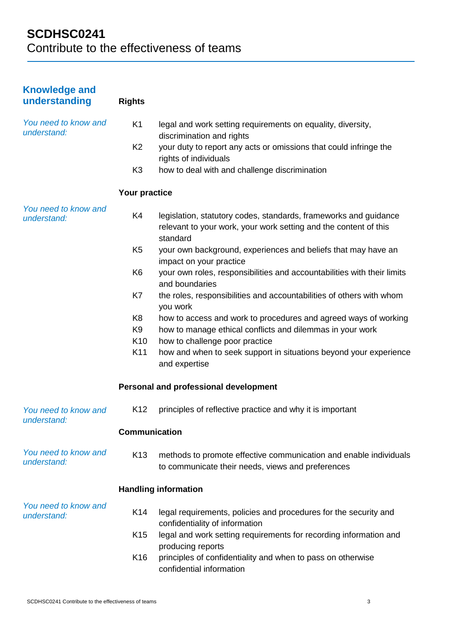| <b>Knowledge and</b><br>understanding | <b>Rights</b>   |                                                                                                                                                  |
|---------------------------------------|-----------------|--------------------------------------------------------------------------------------------------------------------------------------------------|
| You need to know and<br>understand:   | K <sub>1</sub>  | legal and work setting requirements on equality, diversity,<br>discrimination and rights                                                         |
|                                       | K <sub>2</sub>  | your duty to report any acts or omissions that could infringe the<br>rights of individuals                                                       |
|                                       | K <sub>3</sub>  | how to deal with and challenge discrimination                                                                                                    |
|                                       | Your practice   |                                                                                                                                                  |
| You need to know and<br>understand:   | K4              | legislation, statutory codes, standards, frameworks and guidance<br>relevant to your work, your work setting and the content of this<br>standard |
|                                       | K <sub>5</sub>  | your own background, experiences and beliefs that may have an<br>impact on your practice                                                         |
|                                       | K <sub>6</sub>  | your own roles, responsibilities and accountabilities with their limits<br>and boundaries                                                        |
|                                       | K7              | the roles, responsibilities and accountabilities of others with whom<br>you work                                                                 |
|                                       | K8<br>K9        | how to access and work to procedures and agreed ways of working<br>how to manage ethical conflicts and dilemmas in your work                     |
|                                       | K <sub>10</sub> | how to challenge poor practice                                                                                                                   |
|                                       | K11             | how and when to seek support in situations beyond your experience<br>and expertise                                                               |
|                                       |                 | Personal and professional development                                                                                                            |
| You need to know and<br>understand:   | K <sub>12</sub> | principles of reflective practice and why it is important                                                                                        |
|                                       | Communication   |                                                                                                                                                  |
| You need to know and<br>understand:   | K <sub>13</sub> | methods to promote effective communication and enable individuals<br>to communicate their needs, views and preferences                           |
|                                       |                 | <b>Handling information</b>                                                                                                                      |
| You need to know and<br>understand:   | K14             | legal requirements, policies and procedures for the security and<br>confidentiality of information                                               |
|                                       | K <sub>15</sub> | legal and work setting requirements for recording information and<br>producing reports                                                           |
|                                       | K <sub>16</sub> | principles of confidentiality and when to pass on otherwise<br>confidential information                                                          |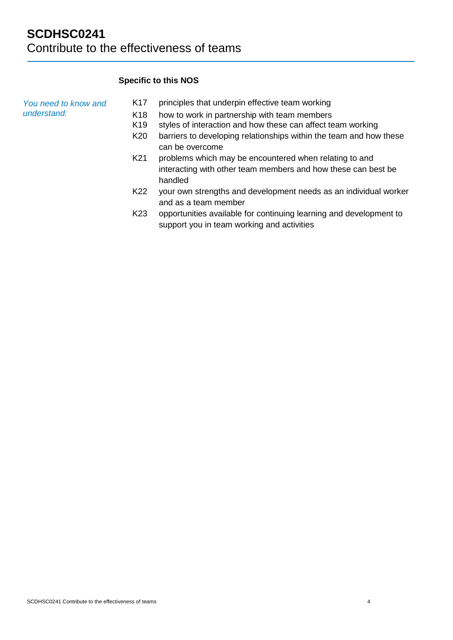## **Specific to this NOS**

| You need to know and<br>understand: | K <sub>17</sub> | principles that underpin effective team working                                                                  |
|-------------------------------------|-----------------|------------------------------------------------------------------------------------------------------------------|
|                                     | K <sub>18</sub> | how to work in partnership with team members                                                                     |
|                                     | K <sub>19</sub> | styles of interaction and how these can affect team working                                                      |
|                                     | K <sub>20</sub> | barriers to developing relationships within the team and how these                                               |
|                                     |                 | can be overcome                                                                                                  |
|                                     | K <sub>21</sub> | problems which may be encountered when relating to and                                                           |
|                                     |                 | interacting with other team members and how these can best be<br>handled                                         |
|                                     | K <sub>22</sub> | your own strengths and development needs as an individual worker                                                 |
|                                     |                 | and as a team member                                                                                             |
|                                     | K <sub>23</sub> | opportunities available for continuing learning and development to<br>support you in team working and activities |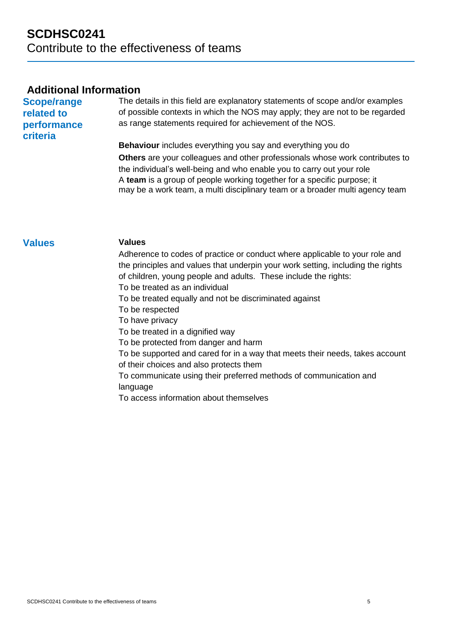## **Additional Information**

**Scope/range related to performance criteria**

The details in this field are explanatory statements of scope and/or examples of possible contexts in which the NOS may apply; they are not to be regarded as range statements required for achievement of the NOS.

**Behaviour** includes everything you say and everything you do **Others** are your colleagues and other professionals whose work contributes to the individual's well-being and who enable you to carry out your role A **team** is a group of people working together for a specific purpose; it may be a work team, a multi disciplinary team or a broader multi agency team

### **Values Values**

Adherence to codes of practice or conduct where applicable to your role and the principles and values that underpin your work setting, including the rights of children, young people and adults. These include the rights: To be treated as an individual

To be treated equally and not be discriminated against

To be respected

To have privacy

To be treated in a dignified way

To be protected from danger and harm

To be supported and cared for in a way that meets their needs, takes account of their choices and also protects them

To communicate using their preferred methods of communication and language

To access information about themselves